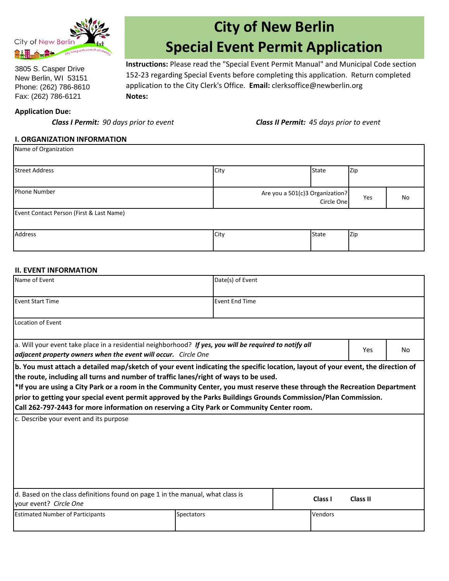

3805 S. Casper Drive New Berlin, WI 53151 Phone: (262) 786-8610 Fax: (262) 786-6121

# **City of New Berlin Special Event Permit Application**

**Notes: Instructions:** Please read the "Special Event Permit Manual" and Municipal Code section 152-23 regarding Special Events before completing this application. Return completed application to the City Clerk's Office. **Email:** clerksoffice@newberlin.org

#### **Application Due:**

*Class I Permit: 90 days prior to event Class II Permit: 45 days prior to event*

#### **I. ORGANIZATION INFORMATION**

| Name of Organization                     |                                 |            |     |    |
|------------------------------------------|---------------------------------|------------|-----|----|
| Street Address                           | City                            | State      | Zip |    |
| Phone Number                             | Are you a 501(c)3 Organization? | Circle One | Yes | No |
| Event Contact Person (First & Last Name) |                                 |            |     |    |
| Address                                  | City                            | State      | Zip |    |

#### **II. EVENT INFORMATION**

| Name of Event                                                                                                                                                                                                                                                                                                                                                                                                                                                                                                                                                       |                   | Date(s) of Event      |         |          |           |
|---------------------------------------------------------------------------------------------------------------------------------------------------------------------------------------------------------------------------------------------------------------------------------------------------------------------------------------------------------------------------------------------------------------------------------------------------------------------------------------------------------------------------------------------------------------------|-------------------|-----------------------|---------|----------|-----------|
| <b>Event Start Time</b>                                                                                                                                                                                                                                                                                                                                                                                                                                                                                                                                             |                   | <b>Event End Time</b> |         |          |           |
| Location of Event                                                                                                                                                                                                                                                                                                                                                                                                                                                                                                                                                   |                   |                       |         |          |           |
| a. Will your event take place in a residential neighborhood? If yes, you will be required to notify all<br>adjacent property owners when the event will occur. Circle One                                                                                                                                                                                                                                                                                                                                                                                           |                   |                       |         | Yes      | <b>No</b> |
| b. You must attach a detailed map/sketch of your event indicating the specific location, layout of your event, the direction of<br>the route, including all turns and number of traffic lanes/right of ways to be used.<br>*If you are using a City Park or a room in the Community Center, you must reserve these through the Recreation Department<br>prior to getting your special event permit approved by the Parks Buildings Grounds Commission/Plan Commission.<br>Call 262-797-2443 for more information on reserving a City Park or Community Center room. |                   |                       |         |          |           |
| c. Describe your event and its purpose                                                                                                                                                                                                                                                                                                                                                                                                                                                                                                                              |                   |                       |         |          |           |
| d. Based on the class definitions found on page 1 in the manual, what class is<br>your event? Circle One                                                                                                                                                                                                                                                                                                                                                                                                                                                            |                   |                       | Class I | Class II |           |
| <b>Estimated Number of Participants</b>                                                                                                                                                                                                                                                                                                                                                                                                                                                                                                                             | <b>Spectators</b> |                       | Vendors |          |           |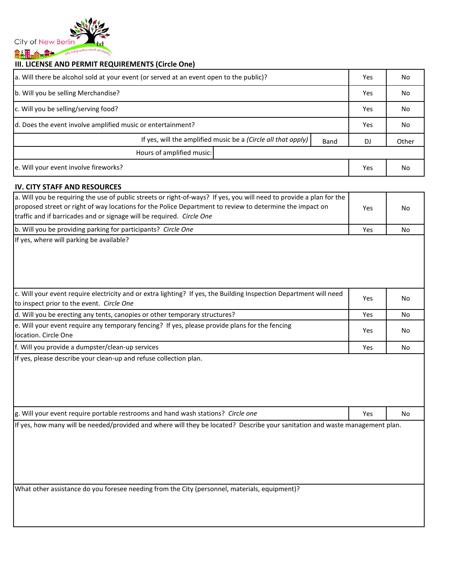

# **III. LICENSE AND PERMIT REQUIREMENTS (Circle One)**

| a. Will there be alcohol sold at your event (or served at an event open to the public)? |  |     | No.   |
|-----------------------------------------------------------------------------------------|--|-----|-------|
| b. Will you be selling Merchandise?                                                     |  | Yes | No.   |
| c. Will you be selling/serving food?                                                    |  |     | No.   |
| d. Does the event involve amplified music or entertainment?                             |  |     | No.   |
| If yes, will the amplified music be a (Circle all that apply)<br>Band                   |  | DJ  | Other |
| Hours of amplified music:                                                               |  |     |       |
| e. Will your event involve fireworks?                                                   |  | Yes | No.   |

### **IV. CITY STAFF AND RESOURCES**

| נאסטטאנא וואוט וואי ווא                                                                                                                                                                                                                                                                                   |            |           |
|-----------------------------------------------------------------------------------------------------------------------------------------------------------------------------------------------------------------------------------------------------------------------------------------------------------|------------|-----------|
| a. Will you be requiring the use of public streets or right-of-ways? If yes, you will need to provide a plan for the<br>proposed street or right of way locations for the Police Department to review to determine the impact on<br>traffic and if barricades and or signage will be required. Circle One | Yes        | <b>No</b> |
| b. Will you be providing parking for participants? Circle One                                                                                                                                                                                                                                             | Yes        | <b>No</b> |
| If yes, where will parking be available?                                                                                                                                                                                                                                                                  |            |           |
| c. Will your event require electricity and or extra lighting? If yes, the Building Inspection Department will need<br>to inspect prior to the event. Circle One                                                                                                                                           | Yes        | <b>No</b> |
| d. Will you be erecting any tents, canopies or other temporary structures?                                                                                                                                                                                                                                | Yes        | No        |
| e. Will your event require any temporary fencing? If yes, please provide plans for the fencing<br>location. Circle One                                                                                                                                                                                    | <b>Yes</b> | <b>No</b> |
| f. Will you provide a dumpster/clean-up services                                                                                                                                                                                                                                                          | Yes        | No        |
|                                                                                                                                                                                                                                                                                                           |            |           |
| g. Will your event require portable restrooms and hand wash stations? Circle one                                                                                                                                                                                                                          | Yes        | <b>No</b> |
| If yes, how many will be needed/provided and where will they be located? Describe your sanitation and waste management plan.<br>What other assistance do you foresee needing from the City (personnel, materials, equipment)?                                                                             |            |           |
|                                                                                                                                                                                                                                                                                                           |            |           |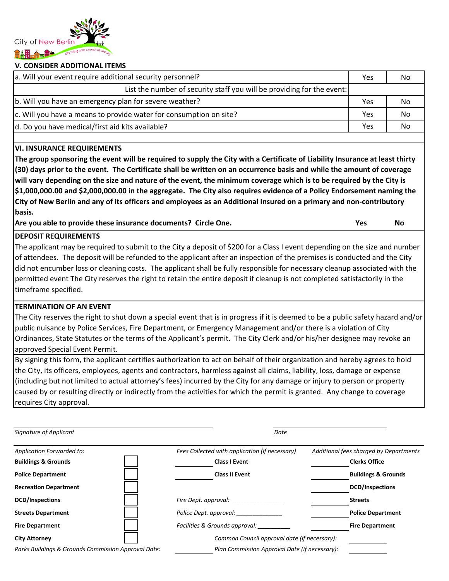

#### **V. CONSIDER ADDITIONAL ITEMS**

| Yes | No                                                                     |
|-----|------------------------------------------------------------------------|
|     |                                                                        |
| Yes | No                                                                     |
| Yes | No                                                                     |
| Yes | No                                                                     |
|     | List the number of security staff you will be providing for the event: |

#### **VI. INSURANCE REQUIREMENTS**

**The group sponsoring the event will be required to supply the City with a Certificate of Liability Insurance at least thirty (30) days prior to the event. The Certificate shall be written on an occurrence basis and while the amount of coverage will vary depending on the size and nature of the event, the minimum coverage which is to be required by the City is \$1,000,000.00 and \$2,000,000.00 in the aggregate. The City also requires evidence of a Policy Endorsement naming the City of New Berlin and any of its officers and employees as an Additional Insured on a primary and non-contributory basis.**

**Are you able to provide these insurance documents? Circle One. Yes No**

#### **DEPOSIT REQUIREMENTS**

The applicant may be required to submit to the City a deposit of \$200 for a Class I event depending on the size and number of attendees. The deposit will be refunded to the applicant after an inspection of the premises is conducted and the City did not encumber loss or cleaning costs. The applicant shall be fully responsible for necessary cleanup associated with the permitted event The City reserves the right to retain the entire deposit if cleanup is not completed satisfactorily in the timeframe specified.

#### **TERMINATION OF AN EVENT**

The City reserves the right to shut down a special event that is in progress if it is deemed to be a public safety hazard and/or public nuisance by Police Services, Fire Department, or Emergency Management and/or there is a violation of City Ordinances, State Statutes or the terms of the Applicant's permit. The City Clerk and/or his/her designee may revoke an approved Special Event Permit.

By signing this form, the applicant certifies authorization to act on behalf of their organization and hereby agrees to hold the City, its officers, employees, agents and contractors, harmless against all claims, liability, loss, damage or expense (including but not limited to actual attorney's fees) incurred by the City for any damage or injury to person or property caused by or resulting directly or indirectly from the activities for which the permit is granted. Any change to coverage requires City approval.

| Signature of Applicant                              | Date                                           |                                        |
|-----------------------------------------------------|------------------------------------------------|----------------------------------------|
| Application Forwarded to:                           | Fees Collected with application (if necessary) | Additional fees charged by Departments |
| <b>Buildings &amp; Grounds</b>                      | <b>Class I Event</b>                           | <b>Clerks Office</b>                   |
| <b>Police Department</b>                            | <b>Class II Event</b>                          | <b>Buildings &amp; Grounds</b>         |
| <b>Recreation Department</b>                        |                                                | <b>DCD/Inspections</b>                 |
| <b>DCD/Inspections</b>                              | Fire Dept. approval:                           | <b>Streets</b>                         |
| <b>Streets Department</b>                           | Police Dept. approval:                         | <b>Police Department</b>               |
| <b>Fire Department</b>                              | Facilities & Grounds approval:                 | <b>Fire Department</b>                 |
| <b>City Attorney</b>                                | Common Council approval date (if necessary):   |                                        |
| Parks Buildings & Grounds Commission Approval Date: | Plan Commission Approval Date (if necessary):  |                                        |